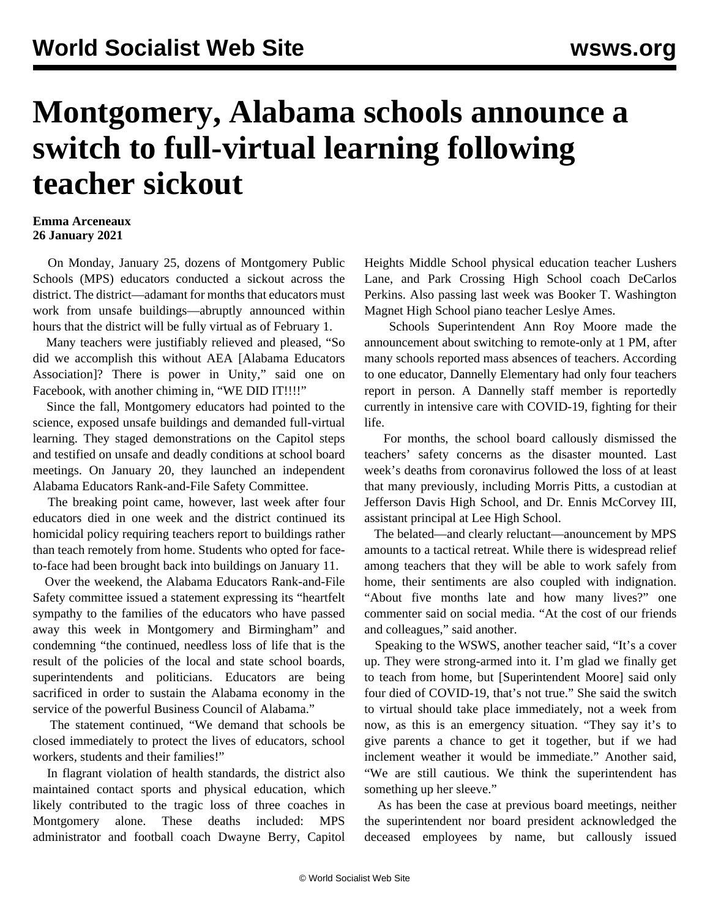## **Montgomery, Alabama schools announce a switch to full-virtual learning following teacher sickout**

## **Emma Arceneaux 26 January 2021**

 On Monday, January 25, dozens of Montgomery Public Schools (MPS) educators conducted a sickout across the district. The district—adamant for months that educators must work from unsafe buildings—abruptly announced within hours that the district will be fully virtual as of February 1.

 Many teachers were justifiably relieved and pleased, "So did we accomplish this without AEA [Alabama Educators Association]? There is power in Unity," said one on Facebook, with another chiming in, "WE DID IT!!!!"

 Since the fall, Montgomery educators had pointed to the science, exposed unsafe buildings and demanded full-virtual learning. They staged [demonstrations](/en/articles/2020/11/21/alab-n21.html) on the Capitol steps and testified on [unsafe and deadly conditions](/en/articles/2020/11/20/alab-n20.html) at [school board](/en/articles/2020/12/10/alab-d10.html) [meetings](/en/articles/2020/12/10/alab-d10.html). On January 20, they launched an independent [Alabama Educators Rank-and-File Safety Committee.](/en/articles/2021/01/20/alab-j20.html)

 The breaking point came, however, last week after [four](/en/articles/2021/01/23/alab-j23.html) [educators](/en/articles/2021/01/23/alab-j23.html) died in one week and the district continued its homicidal policy requiring teachers report to buildings rather than teach remotely from home. Students who opted for faceto-face had been brought back into buildings on January 11.

 Over the weekend, the Alabama Educators Rank-and-File Safety committee issued a statement expressing its "heartfelt sympathy to the families of the educators who have passed away this week in Montgomery and Birmingham" and condemning "the continued, needless loss of life that is the result of the policies of the local and state school boards, superintendents and politicians. Educators are being sacrificed in order to sustain the Alabama economy in the service of the powerful Business Council of Alabama."

 The statement continued, "We demand that schools be closed immediately to protect the lives of educators, school workers, students and their families!"

 In flagrant violation of health standards, the district also maintained contact sports and physical education, which likely contributed to the tragic loss of three coaches in Montgomery alone. These deaths included: MPS administrator and football coach Dwayne Berry, Capitol Heights Middle School physical education teacher Lushers Lane, and Park Crossing High School coach DeCarlos Perkins. Also passing last week was Booker T. Washington Magnet High School piano teacher Leslye Ames.

 Schools Superintendent Ann Roy Moore made the announcement about switching to remote-only at 1 PM, after many schools reported mass absences of teachers. According to one educator, Dannelly Elementary had only four teachers report in person. A Dannelly staff member is reportedly currently in intensive care with COVID-19, fighting for their life.

 For months, the school board callously dismissed the teachers' safety concerns as the disaster mounted. Last week's deaths from coronavirus followed the loss of at least that many previously, including [Morris Pitts,](/en/articles/2020/12/07/alab-d07.html) a custodian at Jefferson Davis High School, and [Dr. Ennis McCorvey III,](/en/articles/2020/12/07/alab-d07.html) assistant principal at Lee High School.

 The belated—and clearly reluctant—anouncement by MPS amounts to a tactical retreat. While there is widespread relief among teachers that they will be able to work safely from home, their sentiments are also coupled with indignation. "About five months late and how many lives?" one commenter said on social media. "At the cost of our friends and colleagues," said another.

 Speaking to the WSWS, another teacher said, "It's a cover up. They were strong-armed into it. I'm glad we finally get to teach from home, but [Superintendent Moore] said only four died of COVID-19, that's not true." She said the switch to virtual should take place immediately, not a week from now, as this is an emergency situation. "They say it's to give parents a chance to get it together, but if we had inclement weather it would be immediate." Another said, "We are still cautious. We think the superintendent has something up her sleeve."

 As has been the case at previous board meetings, neither the superintendent nor board president acknowledged the deceased employees by name, but callously issued